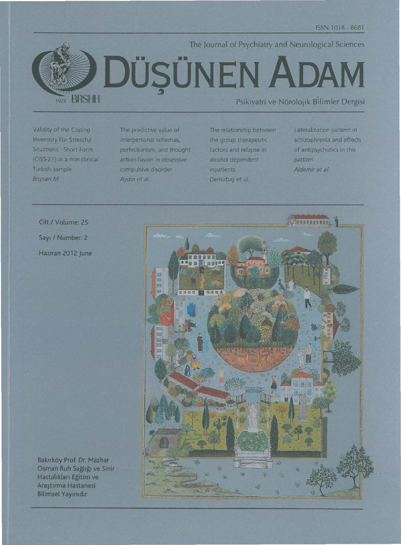

Validity of the Coping **Inventory For Stressful** Situations - Short Form (CISS-21) in a non-clinical Turkish sample Boysan M.

The predictive value of interpersonal schemas, perfectionism, and thought action-fusion in obsessivecompulsive disorder Aydın et al.

The relationship between the group therapeutic factors and relapse in alcohol dependent inpatients Demirbas et al.

Lateralization pattern in schizophrenia and effects of antipsychotics in this pattern Aldemir et al.

Cilt / Volume: 25 Sayı / Number: 2 Haziran 2012 June



Bakırköy Prof. Dr. Mazhar Osman Ruh Sağlığı ve Sinir Hastalıkları Eğitim ve Araștirma Hastanesi **Bilimsel Yayınıdır**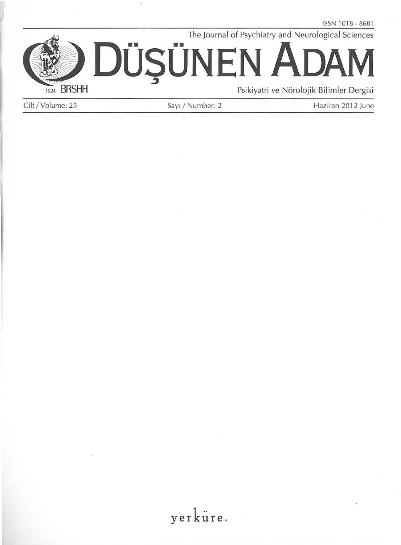The journal of Psychiatry and Neurological Sciences **ADAM DUSUNEN** 1924 BRSHH Psikiyatri ve Nörolojik Bilimler Dergisi

Cilt/Volume: 25 Sayı / Number: 2 Haziran 2012 June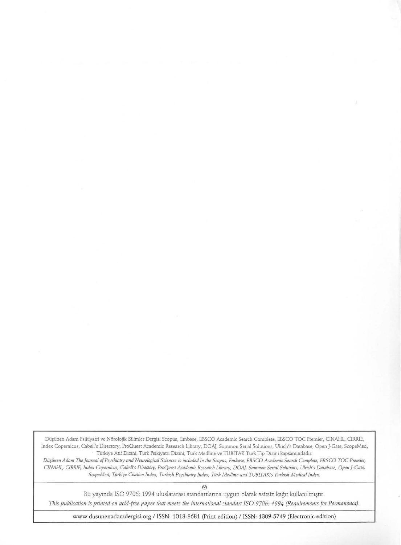Düşünen Adam Psikiyatri ve Nörolojik Bilimler Dergisi Scopus, Embase, EBSCO Academic Search Complete, EBSCO TOC Premier, CINAHL, CIRRIE, Index Copernicus, Cabell's Directory, ProOuest Academic Research Library, DOA). Summon Serial Solutions, Ulrich's Database, Open )-Gate, ScopeMed, Türkiye Auf Dizini, Türk Psikiyatri Dizini, Türk Medline ve TÜBİTAK Türk Tıp Dizini kapsamındadır.

Düşünen Adam The Journal of Psychiatry and Neurological Sciences is included in the Scopus, Embase, EBSCO Academic Search Complete, EBSCO TOC Premier, *CINAHL, CIRRIE, Index Copernicus, Cabell's Directory, ProQuest Academic Research Library, DOAJ, Summon Serial Solutions, Ulrich's Database, Open}-Gate, ScopeMed, Türkiye Citation Index, Turkish Psychiatry Index, Türk Medline and TUBITAK's Turkish Medical Index.* 

€9

Bu yayında ISO 9706: 1994 uluslararası standartlarına uygun olarak asitsiz kağıt kullanılmıştır. *This publication is printed on acid-free paper that meers the internationa!standart ISO 9706: 1994 (Requirements for Permanence).* 

www.dusunenadamdergisi.org / ISSN: 1018-8681 (Print edition) / ISSN: 1309-5749 (Electronic edition)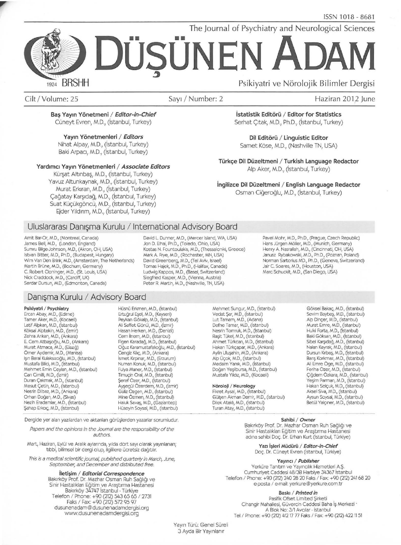The Journal of Psychiatry and Neurological Sciences

# **DOSONEN**  \_, **ADAM**  Psikiyatri ve Nörolojik Bilimler Dergisi

**BRSHH** 1924

Cilt /Volume: 25 Sayr I Number: 2 Haziran 2012 june

Baş Yayın Yönetmeni / Editor-in-Chief Cüneyt Evren, M.D., (İstanbul, Turkey)

Yayın Yönetmenleri / Editors Nihat Alpay, M.D., (istanbul, Turkey) Baki Arpacı, M.D., (İstanbul, Turkey)

#### Yardımcı Yayın Yönetmenleri / Associate Editors

Kürşat Altınbaş, M.D., (İstanbul, Turkey) Yavuz Altunkaynak, M.D., (istanbul, Turkey) Murat Erkıran, M.D., (İstanbul, Turkey) Cağatay Karşıdağ, M.D., (İstanbul, Turkey) Suat Küçükgöncü, M.D., (İstanbul, Turkey) Ejder Yıldırım, M.D., (İstanbul, Turkey)

# Alp Aker, M.D., (istanbul, Turkey)

İngilizce Dil Düzeltmeni / English Language Redactor Osman Ciğeroğlu, M.D., (İstanbul, Turkey)

İstatistik Editörü / Editor for Statistics Serhat Çıtak, M.D., Ph.D., (İstanbul, Turkey)

Dil Editörü / Linguistic Editor Samet Köse, M.D., (Nashville TN, USA)

Türkçe Dil Düzeltmeni / Turkish Language Redactor

# Uluslararasi Danişma Kurulu / International Advisory Board

Amit Bar-Or, M.D., (Montreal, Canada) James Bell, M.D., (London, England) Sumru Bilge-Johnson, M.D., (Akron, OH, USA) Istvan Bitter, M.D., Ph.D., (Budapest, Hungary) Wim Van Den Brink, M.D., (Amsterdam, The Netherlands) Martin Brüne, M.D., (Bochum, Germany) C. Robert Cloninger, M.D., (St. Louis, USA)<br>Nick Craddock, M.D., (Cardiff, UK) Serdar Dursun, M.D., (Edmonton, Canada)

# Danisma Kurulu / Advisory Board

#### Psikiyatri / Psychiatry

Ercan Abay, M.D., (Edirne) Tamer Aker, M.D., (Kocaeli) Latif Alpkan, M.D., (Istanbul) K6ksal Alptekin, M.D., (izmir) Zehra Ankan, M.D., (Ankara) E. Cem Atbaşoğlu, M.D., (Ankara) Murat Atmaca, M.D., (Elazığ)<br>Ömer Aydemir, M.D., (Manisa) lşın Baral Kulaksızoğlu, M.D., (Istanbul) Mustafa Bilici, M.D., (İstanbul)<br>Mehmet Emin Ceylan, M.D., (İstanbul) Can Cimilli, M.D., (izmir) Duran Çakmak, M.D., (İstanbul) Mesut Cetin, M.D., (Istanbul) Nesrin Dilbaz, M.D., (Ankara) Orhan Dogan, M.D., (Sivas) Nezih Eradamlar, M.D., (istanbul) Şahap Erkoç, M.D., (İstanbul)

Hüsnü Erkmen, M.D., (İstanbul) Ertuğrul Eşel, M.D., (Kayseri) Peykan Gökalp, M.D., (İstanbul) Ali Saffet Gönül, M.D., (İzmir) Hasan Herken, M.D., (Denizli) Cem ilnem, M.D., (istanbul) Figen Karadağ, M.D., (İstanbul) Oğuz Karamustafalıoğlu, M.D., (İstanbul) Cengiz Kılıç, M.D., (Ankara) ismet Kirpinar, M.D., (Erzurum) Numan Konuk, M.D., (İstanbul)<br>Fulya Maner, M.D., (İstanbul) Timuc;in Oral, M.D., (istanbul) Seref Özer, M.D., (İstanbul) Ayşegül Özerdem, M.D., (İzmir) Guliz Ozgen, M.D., (istanbul) Mine Ozmen, M.D., (istanbul) Haluk Savaş, M.D., (Gaziantep) Hüseyin Soysal, M.D., (İstanbul)

Dergide yer alan yazılardan ve aktarılan görüşlerden yazarlar sorumludur.

Papers and *the* opinions in *the* Journal are the responsibility of the authors.

Mart, Haziran, Eylül ve Aralık aylarında, yılda dört sayı olarak yayınlanan; tıbbi, bilimsel bir dergi olup, ilgililere ücretsiz dağıtılır.

This is a medical scientific journal, published quarterly in March, June, September, and December and distributed free.

#### lletişim / Editorial Correspondence

Bakırköy Prof. Dr. Mazhar Osman Ruh Sağlığı ve Sinir Hastalıkları Eğitim ve Araştırma Hastanesi Bakırköy 34747 Istanbul - Türkiye<br>190 (212 / Telefon / Phone: +90 (212) 543 65 65<br>172 Faks / Fax: +90 (212) 572 95 97 dusunenadam @dusunenadamdergisi.org www.dusunenadamdergisi.org

David L Dunner, M.D., (Mercer Island, WA, USA) Jon D. Elhai, Ph.D., (Toledo, Ohio, USA) Kostas N. Fountoulakis, M.D., (Thessaloniki, Greece) Mark A. Frye, M.D., (Rochester, MN, USA) David Greenberg, M.D., (Tel Aviv, Israel) Tomas Hajek, M.D., Ph.D., (Halifax, Canada) Siegfried Kasper, M.D., (Vienna, Austria)<br>Peter R. Martin, M.D., (Nashville, TN, USA)

Pavel Mohr, M.D., Ph.D., (Prague, Czech Republic) Hans Jürgen Möller, M.D., (Munich, Germany) Henry A. Nasrallah, M.D., (Cincinnati, OH, USA) Janusz Rybakowski, M.D., Ph.D., (Poznan, Poland) Norman Sartorius MD., Ph.D., (Geneva, Switzerland) Jair C. Soares, M.D., (Houston, USA)<br>Marc Schuckit, M.D., (San Diego, USA)

Mehmet Sungur, M.D., (İstanbul) Vedat Şar, M.D., (İstanbul) Lut Tamam, M.D., (Adana) Defne Tamar, M.D., (istanbul) Nesrin Tomruk, M.D., (istanbul) Rașit Tükel, M.D., (İstanbul) Ahmet Turkcan, M.D., (istanbul) Hakan Türkçapar, M.D., (Ankara) Aylin Ulusahin, M.D., (Ankara) Alp Üçok, M.D., (İstanbul) Medaim Yanık, M.D., (İstanbul) Doğan Yeşilbursa, M.D., (İstanbul) Mustafa Y11d1z, M.D., (Kocaeli)

#### Nöroloji / Neurology

Fikret Aysal, M.D., (İstanbul) Gülşen Akman Demir, M.D., (İstanbul) Dilek Ataklı, M.D., (İstanbul) Turan Atay, M.D., (istanbul)

Göksel Bakaç, M.D., (İstanbul) Sevim Baybaş, M.D., (İstanbul) Alp Dincer, M.D., (İstanbul) Murat Emre, M.D., (istanbul) Hulki Forta, M.D., (istanbul) Baki Göksan, M.D., (İstanbul) Sibel Karşıdağ, M.D., (İstanbul) Nalan Kayrak, M.D., (istanbul) Dursun Kırbaş, M.D., (İstanbul)<br>Barış Korkmaz, M.D., (İstanbul) Ali Emre Öge, M.D., (İstanbul)<br>Feriha Özer, M.D., (İstanbul) Çiğdem Özkara, M.D., (İstanbul)<br>Yeşim Parman, M.D., (İstanbul) Hakan Selçuk, M.D., (İstanbul) Aksel Siva, M.D., (istanbul) Aysun Soysal, M.D., (istanbul) Betül Yalçıner, M.D., (İstanbul)

#### Sahibi / Owner

Bakırköy Prof. Dr. Mazhar Osman Ruh Sağlığı ve Sinir Hastalıkları Eğitim ve Araştırma Hastanesi adına sahibi Doç. Dr. Erhan Kurt (İstanbul, Türkiye)

Yazı İşleri Müdürü / Editor-in-Chief Doç. Dr. Cüneyt Evren (İstanbul, Türkiye)

#### Yayıncı / Publisher

Yerküre Tanıtım ve Yayıncılık Hizmetleri A.Ş. Cumhuriyet Caddesi 48/38 Harbiye 34367 istanbul Telefon / Phone: +90 (212) 240 28 20 Faks / Fax: +90 (212) 241 68 20 e-posta / e-mail: yerkure@yerkure.com.tr

Baskı / Printed in

Pasifik Ofset Limited Şirketi Cihangir Mahallesi, Güvercin Caddesi Baha İş Merkezi · A Blok No: 3/1 Avcılar - İstanbul Tel / Phone: +90 (212) 412 17 77 Faks / Fax: +90 (212) 422 11 51

Yayın Türü: Genel Süreli 3 Ayda Bir Yayınlanır